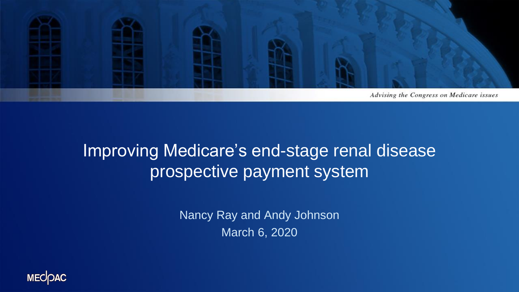

#### Improving Medicare's end-stage renal disease prospective payment system

Nancy Ray and Andy Johnson March 6, 2020

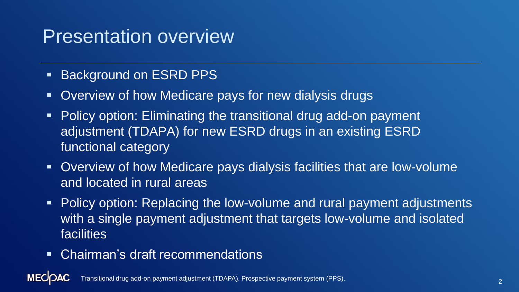## Presentation overview

- **Background on ESRD PPS**
- Overview of how Medicare pays for new dialysis drugs
- Policy option: Eliminating the transitional drug add-on payment adjustment (TDAPA) for new ESRD drugs in an existing ESRD functional category
- Overview of how Medicare pays dialysis facilities that are low-volume and located in rural areas
- Policy option: Replacing the low-volume and rural payment adjustments with a single payment adjustment that targets low-volume and isolated facilities
- Chairman's draft recommendations

**MECOAC** Transitional drug add-on payment adjustment (TDAPA). Prospective payment system (PPS).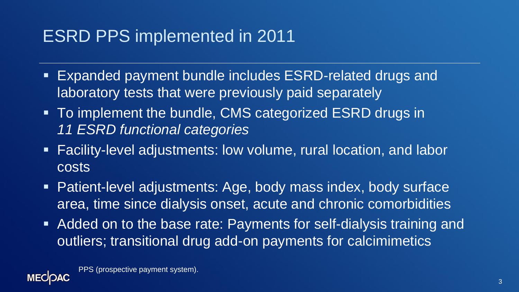### ESRD PPS implemented in 2011

- Expanded payment bundle includes ESRD-related drugs and laboratory tests that were previously paid separately
- To implement the bundle, CMS categorized ESRD drugs in *11 ESRD functional categories*
- Facility-level adjustments: low volume, rural location, and labor costs
- Patient-level adjustments: Age, body mass index, body surface area, time since dialysis onset, acute and chronic comorbidities
- Added on to the base rate: Payments for self-dialysis training and outliers; transitional drug add-on payments for calcimimetics

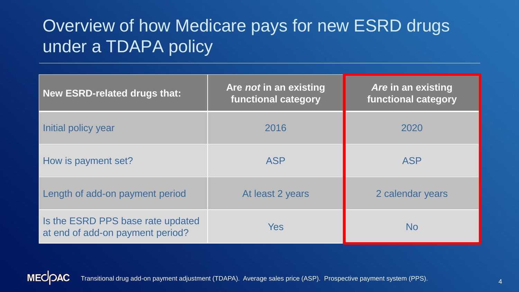### Overview of how Medicare pays for new ESRD drugs under a TDAPA policy

| <b>New ESRD-related drugs that:</b>                                   | Are <i>not</i> in an existing<br><b>functional category</b> | Are in an existing<br><b>functional category</b> |
|-----------------------------------------------------------------------|-------------------------------------------------------------|--------------------------------------------------|
| Initial policy year                                                   | 2016                                                        | 2020                                             |
| How is payment set?                                                   | <b>ASP</b>                                                  | <b>ASP</b>                                       |
| Length of add-on payment period                                       | At least 2 years                                            | 2 calendar years                                 |
| Is the ESRD PPS base rate updated<br>at end of add-on payment period? | <b>Yes</b>                                                  | <b>No</b>                                        |

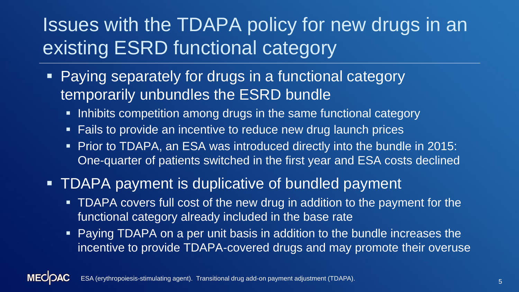# Issues with the TDAPA policy for new drugs in an existing ESRD functional category

- Paying separately for drugs in a functional category temporarily unbundles the ESRD bundle
	- **Inhibits competition among drugs in the same functional category**
	- Fails to provide an incentive to reduce new drug launch prices
	- Prior to TDAPA, an ESA was introduced directly into the bundle in 2015: One-quarter of patients switched in the first year and ESA costs declined
- TDAPA payment is duplicative of bundled payment
	- **TDAPA covers full cost of the new drug in addition to the payment for the** functional category already included in the base rate
	- **Paying TDAPA on a per unit basis in addition to the bundle increases the** incentive to provide TDAPA-covered drugs and may promote their overuse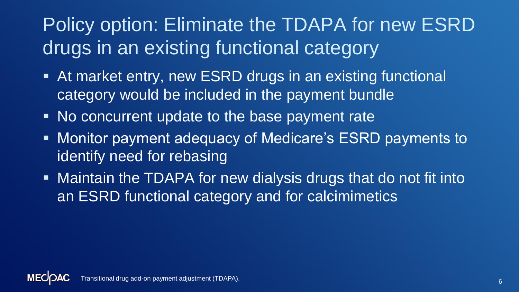# Policy option: Eliminate the TDAPA for new ESRD drugs in an existing functional category

- At market entry, new ESRD drugs in an existing functional category would be included in the payment bundle
- No concurrent update to the base payment rate
- Monitor payment adequacy of Medicare's ESRD payments to identify need for rebasing
- **EXA) In Maintain the TDAPA for new dialysis drugs that do not fit into** an ESRD functional category and for calcimimetics

Transitional drug add-on payment adjustment (TDAPA).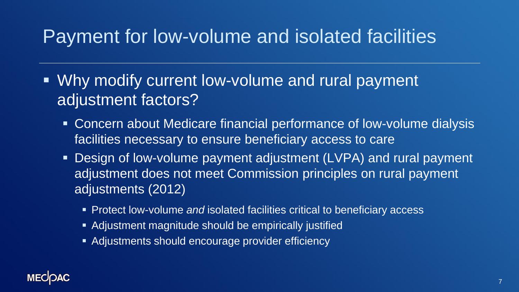# Payment for low-volume and isolated facilities

- Why modify current low-volume and rural payment adjustment factors?
	- Concern about Medicare financial performance of low-volume dialysis facilities necessary to ensure beneficiary access to care
	- Design of low-volume payment adjustment (LVPA) and rural payment adjustment does not meet Commission principles on rural payment adjustments (2012)
		- Protect low-volume *and* isolated facilities critical to beneficiary access
		- Adjustment magnitude should be empirically justified
		- Adjustments should encourage provider efficiency

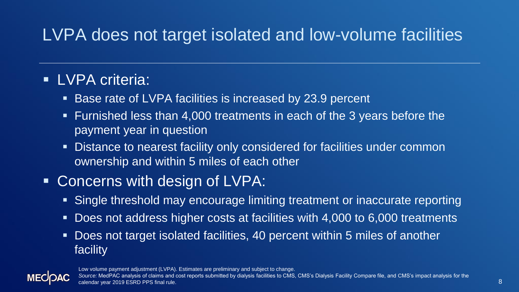## LVPA does not target isolated and low-volume facilities

#### **ELVPA criteria:**

- Base rate of LVPA facilities is increased by 23.9 percent
- Furnished less than 4,000 treatments in each of the 3 years before the payment year in question
- Distance to nearest facility only considered for facilities under common ownership and within 5 miles of each other

#### ■ Concerns with design of LVPA:

- Single threshold may encourage limiting treatment or inaccurate reporting
- Does not address higher costs at facilities with 4,000 to 6,000 treatments
- Does not target isolated facilities, 40 percent within 5 miles of another facility



Low volume payment adjustment (LVPA). Estimates are preliminary and subject to change.

*Source:* MedPAC analysis of claims and cost reports submitted by dialysis facilities to CMS, CMS's Dialysis Facility Compare file, and CMS's impact analysis for the calendar year 2019 ESRD PPS final rule.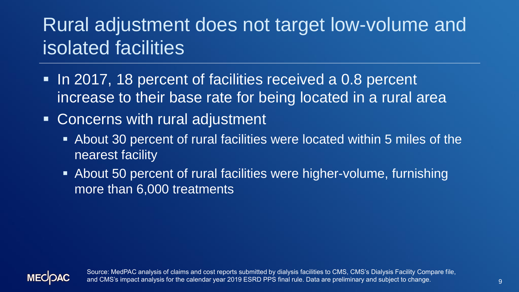# Rural adjustment does not target low-volume and isolated facilities

- In 2017, 18 percent of facilities received a 0.8 percent increase to their base rate for being located in a rural area
- Concerns with rural adjustment
	- About 30 percent of rural facilities were located within 5 miles of the nearest facility
	- About 50 percent of rural facilities were higher-volume, furnishing more than 6,000 treatments



Source: MedPAC analysis of claims and cost reports submitted by dialysis facilities to CMS, CMS's Dialysis Facility Compare file, and CMS's impact analysis for the calendar year 2019 ESRD PPS final rule. Data are preliminary and subject to change.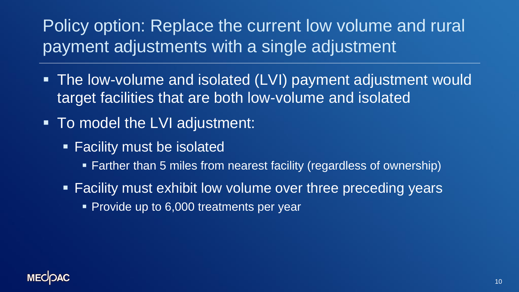## Policy option: Replace the current low volume and rural payment adjustments with a single adjustment

- **The low-volume and isolated (LVI) payment adjustment would** target facilities that are both low-volume and isolated
- To model the LVI adjustment:
	- **Eacility must be isolated** 
		- Farther than 5 miles from nearest facility (regardless of ownership)
	- Facility must exhibit low volume over three preceding years
		- Provide up to 6,000 treatments per year

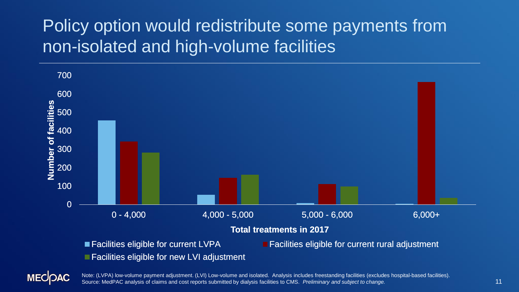### Policy option would redistribute some payments from non-isolated and high-volume facilities



**MECOAC** 

Note: (LVPA) low-volume payment adjustment. (LVI) Low-volume and isolated. Analysis includes freestanding facilities (excludes hospital-based facilities). Source: MedPAC analysis of claims and cost reports submitted by dialysis facilities to CMS. *Preliminary and subject to change.*